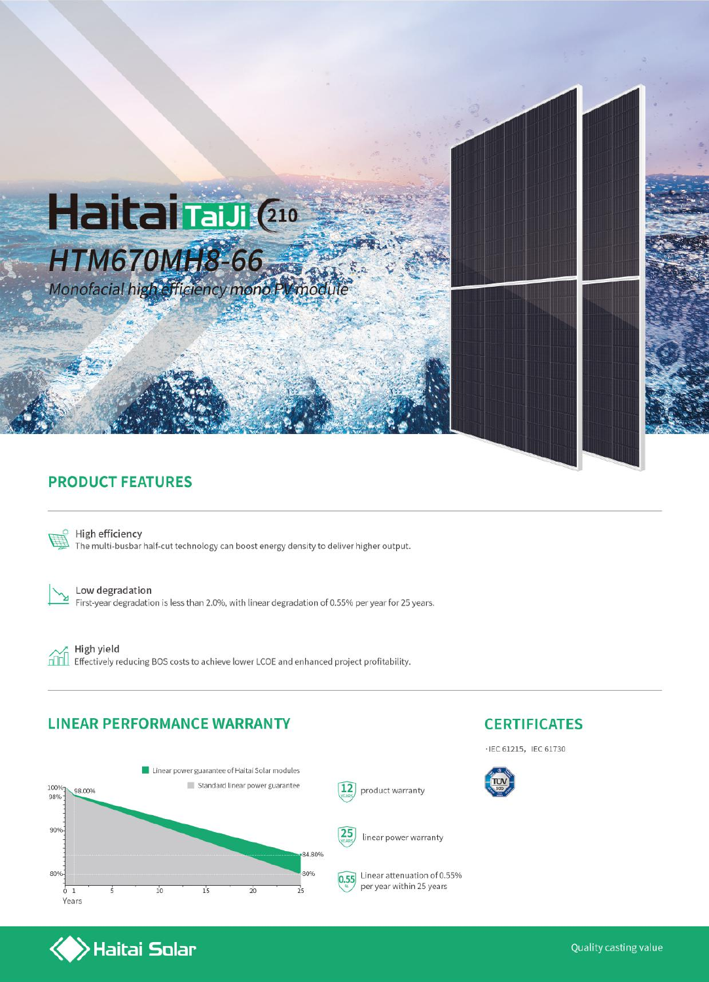

#### **PRODUCT FEATURES**



High efficiency The multi-busbar half-cut technology can boost energy density to deliver higher output.

⊻

Low degradation First-year degradation is less than 2.0%, with linear degradation of 0.55% per year for 25 years.

ńm

High yield Effectively reducing BOS costs to achieve lower LCOE and enhanced project profitability.

#### **LINEAR PERFORMANCE WARRANTY**

 $\left\langle \right\rangle$ Haitai Solar



### **CERTIFICATES**

 $\cdot$  IEC 61215, IEC 61730